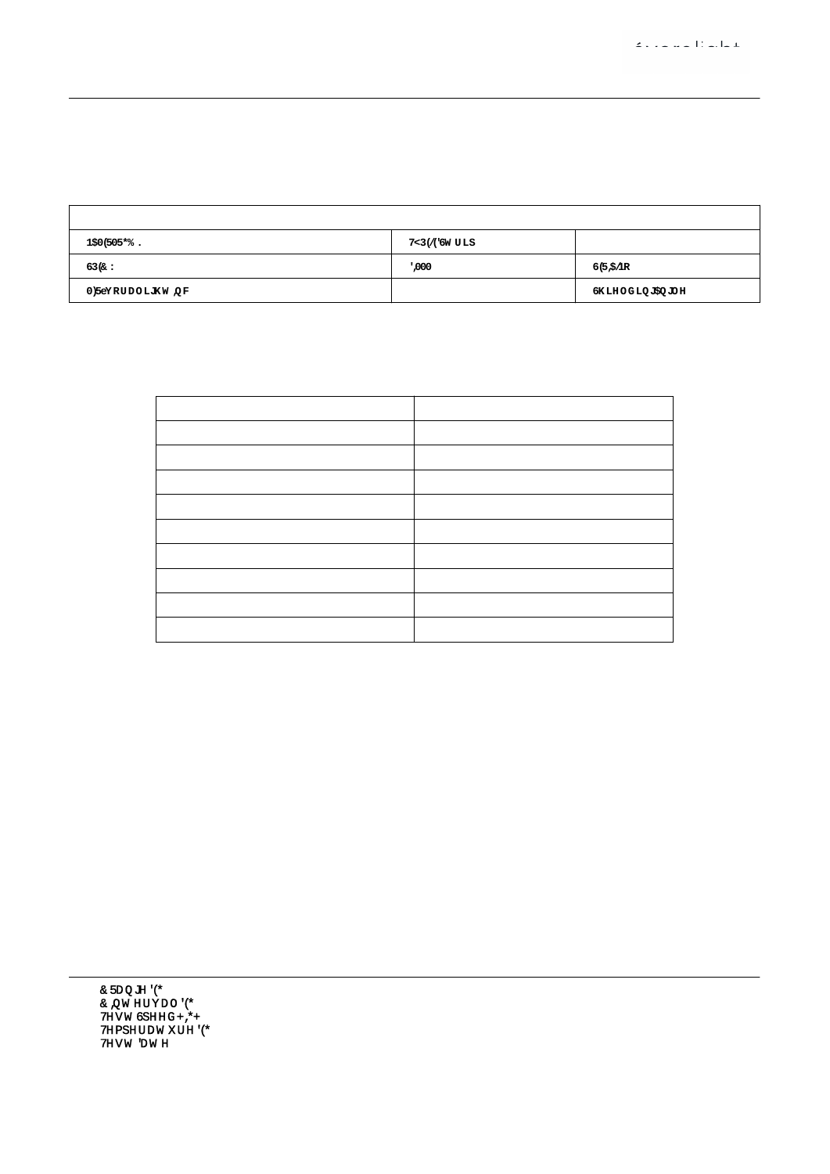@98 5j [ " @ ` F Y d c f h

| HYgh. I. & ("SSJ = . S"% (((5 \cdot D. '" ( * * K \cdot D: . % "SSS \cdot @ Uad \cdot \cdot i \cdot i \cdot \cdot \cdot \cdot \cdot \cdot \cdot \cdot \cdot \cdot \cdot \cdot \cdot \cdot \cdot \cdot \cdot \cdot \cdot \cdot |                                   |                                                                                  |  |  |  |  |  |  |  |  |
|-------------------------------------------------------------------------------------------------------------------------------------------------------------------------------------------------------------------------------|-----------------------------------|----------------------------------------------------------------------------------|--|--|--|--|--|--|--|--|
| $B5A9.$ $FA)$ ) ! F : 6 & (*) ?                                                                                                                                                                                               | $HMD9. @98. Ghf d \mid K9=; < H.$ |                                                                                  |  |  |  |  |  |  |  |  |
| GD97". % K                                                                                                                                                                                                                    |                                   | $8 = A''$ $\ldots$ % $8 S S1$ % $8 I 8 f1 4 f1 6 f1 50$ $B C''$ $\ldots$ $S S\%$ |  |  |  |  |  |  |  |  |
| A: F" vjcf U`] [ \ h $\check{z}$ ' = b W"                                                                                                                                                                                     |                                   | GIF". $S''$ S S & I % I S " $S\%$ G \ ] Y ` X ] b [ ` 5 b [ ` Y .   % & S        |  |  |  |  |  |  |  |  |

| $5i$ $\omega$                                           | WX#a &                               |
|---------------------------------------------------------|--------------------------------------|
| @ S S r %, S fl * ) $L$ U j                             | $( ) ' , ( + ' )$                    |
| @ S S r %, S fl + ) L U j                               | $({\&}^*)$ , ')                      |
| @ S S r %, S fl, $\left  \right $ L Uj                  | $(S - S( , 8)$                       |
| $\mathcal{Q}$ S - S r & + S fl * ) L U j                | $(* ()$ S S '                        |
| $\mathcal{Q}$ S - S r & + S fl + ) L U j                | $(8c)$ , - $8c^*$                    |
| $\mathcal{Q}$ S - S r & + S fl, ) L U j                 | $\frac{1}{2}$ , + %' $\frac{1}{2}$ % |
| $\mathscr{Q}$ S ( ) fl $*$ ) L U j                      | $() - * & - )$                       |
| $\mathcal{Q}$ S ( ) fl + ) L U j                        | $('S')$ , $\sqrt{S}$                 |
| $\mathcal{Q}$ S ( ) $\mathcal{H}$ , ) $\mathcal{L}$ U j | $($ %+ + %% $($                      |

 $G h U b X U f X.$ ;  $6 # H' & -8 - 18 * S \% &$ 

7 FUb[Y. 'S ! ' \* \$89;<br>
7 = bhYfjU'. '&&") 89;<br>
HYgh GdYYX. <=;<<br>
HYadYfUhifY. &) " '89;<br>
HYadYfUhifY. &) " '89;<br>
HYgh 8UhY. &\$&%! \$&! \$' [FUb[Y. 'S ! ' - \$89;<br>  $= b h Yf J U$ ' - %"\$89;<br>
HYgh GmghYa. 9J9F: = B9 ; C!&\$\$\$55J% GMG<br>
<i a] X] hm. \*) "\$1<br>
HYgh 8] ghUbWY. - " \* \* \$a ' 0? 1%" \$\$\$\$Q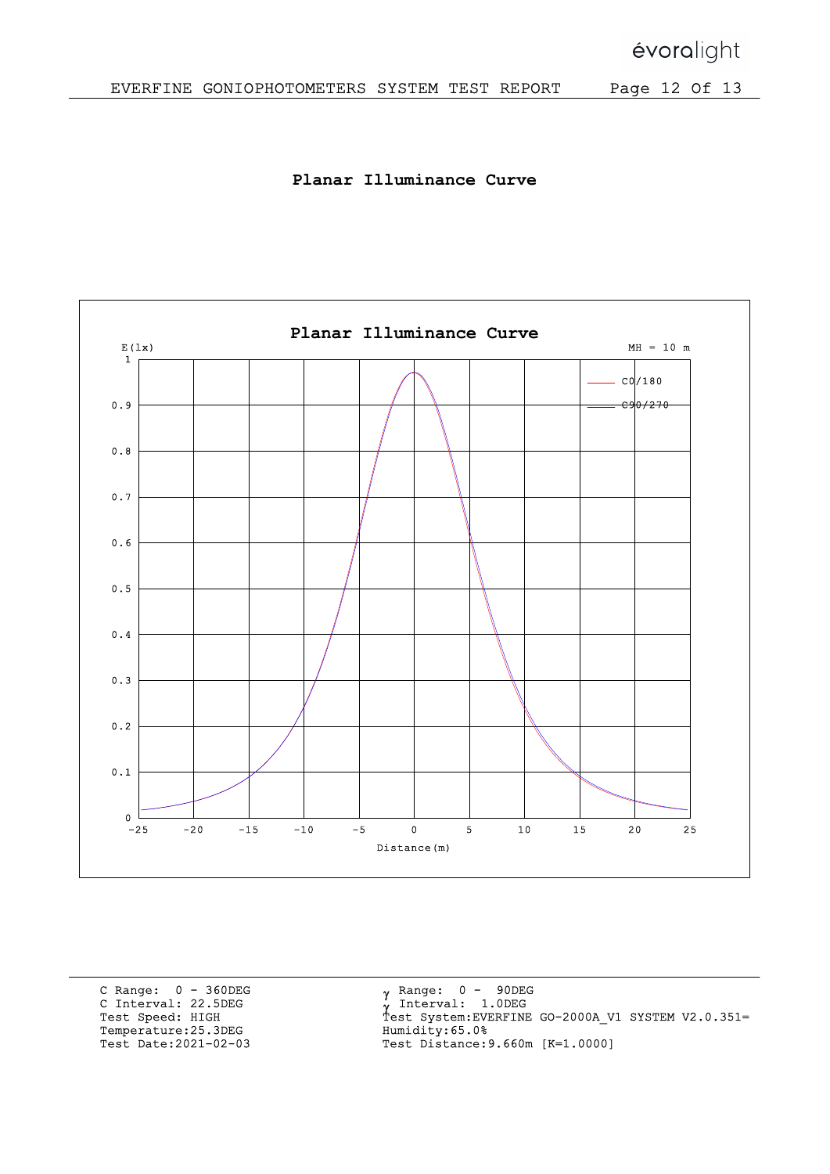Planar Illuminance Curve



C Range: 0 - 360DEG C Interval: 22.5DEG Test Speed: HIGH Temperature:25.3DEG Test Date:2021-02-03

 $\mathbf{v}$ γ<br>ν Ÿ Range: 0 - 90DEG Interval: 1.0DEG Test System:EVERFINE GO-2000A\_V1 SYSTEM V2.0.351= Humidity:65.0% Test Distance:9.660m [K=1.0000]